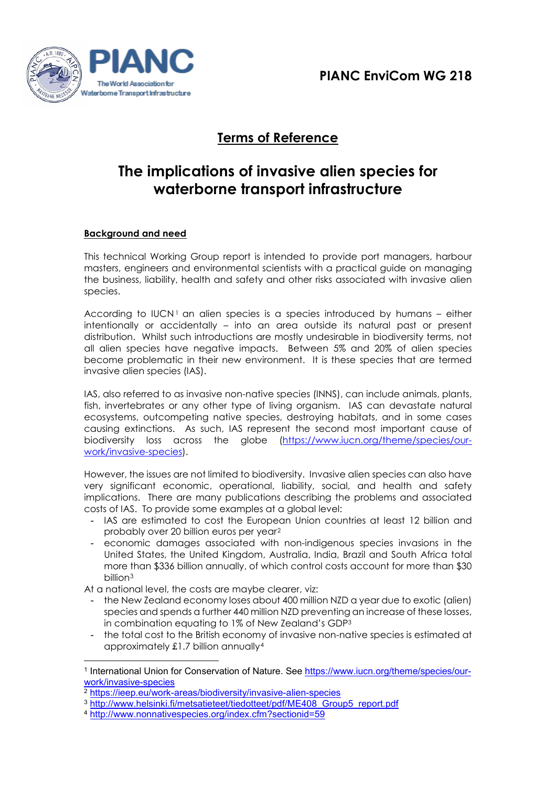

# **Terms of Reference**

# **The implications of invasive alien species for waterborne transport infrastructure**

# **Background and need**

This technical Working Group report is intended to provide port managers, harbour masters, engineers and environmental scientists with a practical guide on managing the business, liability, health and safety and other risks associated with invasive alien species.

According to IUCN<sup>[1](#page-0-0)</sup> an alien species is a species introduced by humans – either intentionally or accidentally – into an area outside its natural past or present distribution. Whilst such introductions are mostly undesirable in biodiversity terms, not all alien species have negative impacts. Between 5% and 20% of alien species become problematic in their new environment. It is these species that are termed invasive alien species (IAS).

IAS, also referred to as invasive non-native species (INNS), can include animals, plants, fish, invertebrates or any other type of living organism. IAS can devastate natural ecosystems, outcompeting native species, destroying habitats, and in some cases causing extinctions. As such, IAS represent the second most important cause of biodiversity loss across the globe [\(https://www.iucn.org/theme/species/our](https://www.iucn.org/theme/species/our-work/invasive-species)[work/invasive-species\)](https://www.iucn.org/theme/species/our-work/invasive-species).

However, the issues are not limited to biodiversity. Invasive alien species can also have very significant economic, operational, liability, social, and health and safety implications. There are many publications describing the problems and associated costs of IAS. To provide some examples at a global level:

- IAS are estimated to cost the European Union countries at least 12 billion and probably over 20 billion euros per year[2](#page-0-1)
- economic damages associated with non-indigenous species invasions in the United States, the United Kingdom, Australia, India, Brazil and South Africa total more than \$336 billion annually, of which control costs account for more than \$30 billion[3](#page-0-2)

At a national level, the costs are maybe clearer, viz:

- the New Zealand economy loses about 400 million NZD a year due to exotic (alien) species and spends a further 440 million NZD preventing an increase of these losses, in combination equating to 1% of New Zealand's GDP3
- the total cost to the British economy of invasive non-native species is estimated at approximately £1.7 billion annually[4](#page-0-3)

<span id="page-0-0"></span><sup>1</sup> International Union for Conservation of Nature. See [https://www.iucn.org/theme/species/our](https://www.iucn.org/theme/species/our-work/invasive-species)[work/invasive-species](https://www.iucn.org/theme/species/our-work/invasive-species)

<span id="page-0-1"></span><sup>2</sup> <https://ieep.eu/work-areas/biodiversity/invasive-alien-species>

<span id="page-0-3"></span><span id="page-0-2"></span><sup>3</sup> [http://www.helsinki.fi/metsatieteet/tiedotteet/pdf/ME408\\_Group5\\_report.pdf](http://www.helsinki.fi/metsatieteet/tiedotteet/pdf/ME408_Group5_report.pdf)

<sup>4</sup> <http://www.nonnativespecies.org/index.cfm?sectionid=59>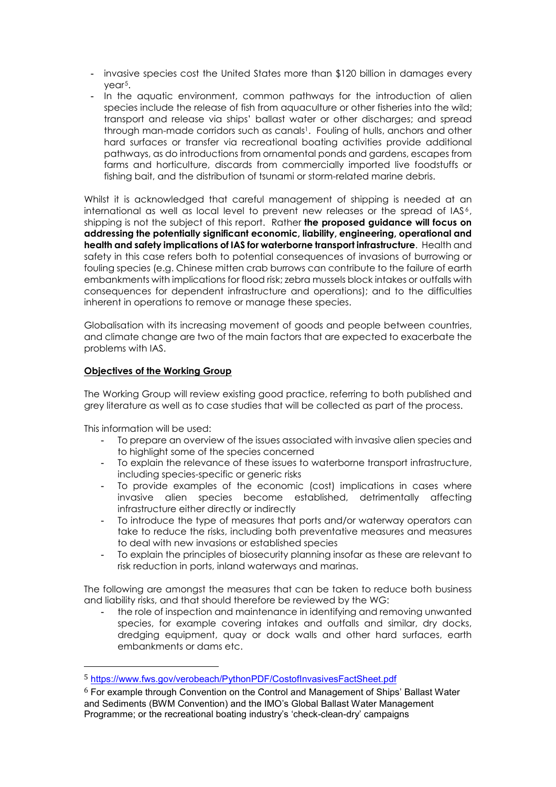- invasive species cost the United States more than \$120 billion in damages every year[5](#page-1-0).
- In the aquatic environment, common pathways for the introduction of alien species include the release of fish from aquaculture or other fisheries into the wild; transport and release via ships' ballast water or other discharges; and spread through man-made corridors such as canals<sup>1</sup>. Fouling of hulls, anchors and other hard surfaces or transfer via recreational boating activities provide additional pathways, as do introductions from ornamental ponds and gardens, escapes from farms and horticulture, discards from commercially imported live foodstuffs or fishing bait, and the distribution of tsunami or storm-related marine debris.

Whilst it is acknowledged that careful management of shipping is needed at an international as well as local level to prevent new releases or the spread of IAS<sup>[6](#page-1-1)</sup>, shipping is not the subject of this report. Rather **the proposed guidance will focus on addressing the potentially significant economic, liability, engineering, operational and health and safety implications of IAS for waterborne transport infrastructure**. Health and safety in this case refers both to potential consequences of invasions of burrowing or fouling species (e.g. Chinese mitten crab burrows can contribute to the failure of earth embankments with implications for flood risk; zebra mussels block intakes or outfalls with consequences for dependent infrastructure and operations); and to the difficulties inherent in operations to remove or manage these species.

Globalisation with its increasing movement of goods and people between countries, and climate change are two of the main factors that are expected to exacerbate the problems with IAS.

# **Objectives of the Working Group**

The Working Group will review existing good practice, referring to both published and grey literature as well as to case studies that will be collected as part of the process.

This information will be used:

- To prepare an overview of the issues associated with invasive alien species and to highlight some of the species concerned
- To explain the relevance of these issues to waterborne transport infrastructure, including species-specific or generic risks
- To provide examples of the economic (cost) implications in cases where invasive alien species become established, detrimentally affecting infrastructure either directly or indirectly
- To introduce the type of measures that ports and/or waterway operators can take to reduce the risks, including both preventative measures and measures to deal with new invasions or established species
- To explain the principles of biosecurity planning insofar as these are relevant to risk reduction in ports, inland waterways and marinas.

The following are amongst the measures that can be taken to reduce both business and liability risks, and that should therefore be reviewed by the WG:

the role of inspection and maintenance in identifying and removing unwanted species, for example covering intakes and outfalls and similar, dry docks, dredging equipment, quay or dock walls and other hard surfaces, earth embankments or dams etc.

<span id="page-1-0"></span> <sup>5</sup> <https://www.fws.gov/verobeach/PythonPDF/CostofInvasivesFactSheet.pdf>

<span id="page-1-1"></span> $6$  For example through Convention on the Control and Management of Ships' Ballast Water and Sediments (BWM Convention) and the IMO's Global Ballast Water Management Programme; or the recreational boating industry's 'check-clean-dry' campaigns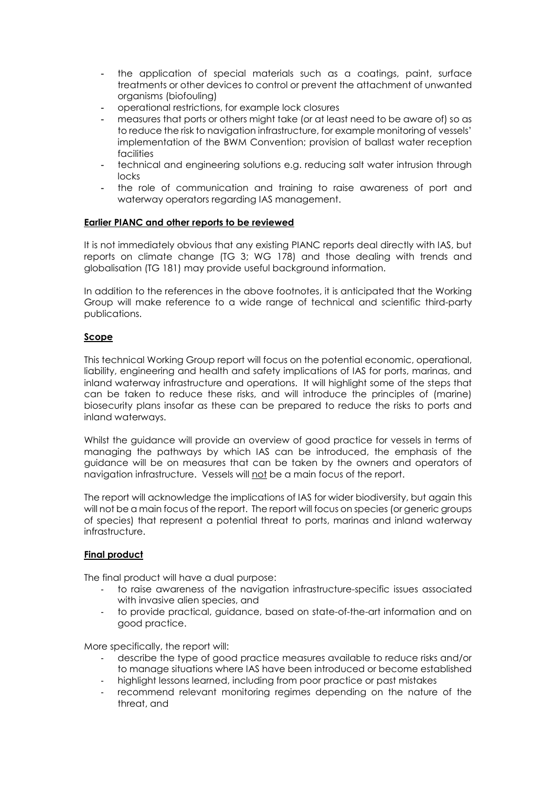- the application of special materials such as a coatings, paint, surface treatments or other devices to control or prevent the attachment of unwanted organisms (biofouling)
- operational restrictions, for example lock closures
- measures that ports or others might take (or at least need to be aware of) so as to reduce the risk to navigation infrastructure, for example monitoring of vessels' implementation of the BWM Convention; provision of ballast water reception facilities
- technical and engineering solutions e.g. reducing salt water intrusion through locks
- the role of communication and training to raise awareness of port and waterway operators regarding IAS management.

# **Earlier PIANC and other reports to be reviewed**

It is not immediately obvious that any existing PIANC reports deal directly with IAS, but reports on climate change (TG 3; WG 178) and those dealing with trends and globalisation (TG 181) may provide useful background information.

In addition to the references in the above footnotes, it is anticipated that the Working Group will make reference to a wide range of technical and scientific third-party publications.

#### **Scope**

This technical Working Group report will focus on the potential economic, operational, liability, engineering and health and safety implications of IAS for ports, marinas, and inland waterway infrastructure and operations. It will highlight some of the steps that can be taken to reduce these risks, and will introduce the principles of (marine) biosecurity plans insofar as these can be prepared to reduce the risks to ports and inland waterways.

Whilst the guidance will provide an overview of good practice for vessels in terms of managing the pathways by which IAS can be introduced, the emphasis of the guidance will be on measures that can be taken by the owners and operators of navigation infrastructure. Vessels will not be a main focus of the report.

The report will acknowledge the implications of IAS for wider biodiversity, but again this will not be a main focus of the report. The report will focus on species (or generic groups of species) that represent a potential threat to ports, marinas and inland waterway infrastructure.

# **Final product**

The final product will have a dual purpose:

- to raise awareness of the navigation infrastructure-specific issues associated with invasive alien species, and
- to provide practical, guidance, based on state-of-the-art information and on good practice.

More specifically, the report will:

- describe the type of good practice measures available to reduce risks and/or to manage situations where IAS have been introduced or become established
- highlight lessons learned, including from poor practice or past mistakes
- recommend relevant monitoring regimes depending on the nature of the threat, and